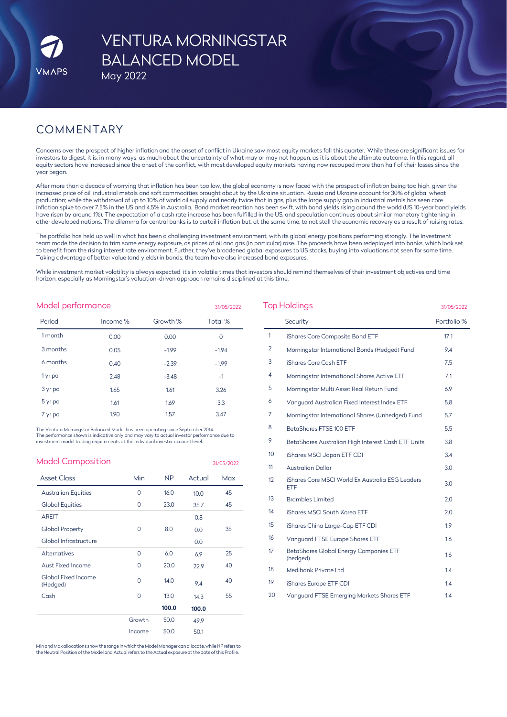# VENTURA MORNINGSTAR BALANCED MODEL

May 2022

# COMMENTARY

Concerns over the prospect of higher inflation and the onset of conflict in Ukraine saw most equity markets fall this quarter. While these are significant issues for investors to digest, it is, in many ways, as much about the uncertainty of what may or may not happen, as it is about the ultimate outcome. In this regard, all equity sectors have increased since the onset of the conflict, with most developed equity markets having now recouped more than half of their losses since the year began.

After more than a decade of worrying that inflation has been too low, the global economy is now faced with the prospect of inflation being too high, given the increased price of oil, industrial metals and soft commodities brought about by the Ukraine situation. Russia and Ukraine account for 30% of global wheat production; while the withdrawal of up to 10% of world oil supply and nearly twice that in gas, plus the large supply gap in industrial metals has seen core inflation spike to over 7.5% in the US and 4.5% in Australia. Bond market reaction has been swift, with bond yields rising around the world (US 10-year bond yields have risen by around 1%). The expectation of a cash rate increase has been fulfilled in the US, and speculation continues about similar monetary tightening in other developed nations. The dilemma for central banks is to curtail inflation but, at the same time, to not stall the economic recovery as a result of raising rates.

The portfolio has held up well in what has been a challenging investment environment, with its global energy positions performing strongly. The Investment team made the decision to trim some energy exposure, as prices of oil and gas (in particular) rose. The proceeds have been redeployed into banks, which look set to benefit from the rising interest rate environment. Further, they've broadened global exposures to US stocks, buying into valuations not seen for some time. Taking advantage of better value (and yields) in bonds, the team have also increased bond exposures.

While investment market volatility is always expected, it's in volatile times that investors should remind themselves of their investment objectives and time horizon, especially as Morningstar's valuation-driven approach remains disciplined at this time.

| Model performance<br>31/05/2022 |          |          |         |  |  |
|---------------------------------|----------|----------|---------|--|--|
| Period                          | Income % | Growth % | Total % |  |  |
| 1 month                         | 0.00     | 0.00     | 0       |  |  |
| 3 months                        | 0.05     | $-1.99$  | $-1.94$ |  |  |
| 6 months                        | 0.40     | $-2.39$  | $-1.99$ |  |  |
| 1 yr pa                         | 2.48     | $-3.48$  | $-1$    |  |  |
| 3 yr pa                         | 1.65     | 1.61     | 3.26    |  |  |
| 5 yr pa                         | 1.61     | 1.69     | 3.3     |  |  |
| 7 yr pa                         | 1.90     | 1.57     | 3.47    |  |  |

The Ventura Morningstar Balanced Model has been operating since September 2014. The performance shown is indicative only and may vary to actual investor performance due to investment model trading requirements at the individual investor account level.

| <b>Model Composition</b>               |          |           |        | 31/05/2022 |
|----------------------------------------|----------|-----------|--------|------------|
| <b>Asset Class</b>                     | Min      | <b>NP</b> | Actual | Max        |
| <b>Australian Equities</b>             | 0        | 16.0      | 10.0   | 45         |
| <b>Global Equities</b>                 | 0        | 23.0      | 35.7   | 45         |
| <b>AREIT</b>                           |          |           | 0.8    |            |
| <b>Global Property</b>                 | 0        | 8.0       | 0.0    | 35         |
| Global Infrastructure                  |          |           | 0.0    |            |
| Alternatives                           | 0        | 6.0       | 6.9    | 25         |
| Aust Fixed Income                      | $\Omega$ | 20.0      | 22.9   | 40         |
| <b>Global Fixed Income</b><br>(Hedged) | $\Omega$ | 14.0      | 9.4    | 40         |
| Cash                                   | $\Omega$ | 13.0      | 14.3   | 55         |
|                                        |          | 100.0     | 100.0  |            |
|                                        | Growth   | 50.0      | 49.9   |            |
|                                        | Income   | 50.0      | 50.1   |            |

Min and Max allocations show the range in which the Model Manager can allocate, while NP refers to<br>the Neutral Position of the Model and Actual refers to the Actual exposure at the date of this Profile.

| <b>Top Holdings</b> | 31/05/2022                                              |             |
|---------------------|---------------------------------------------------------|-------------|
|                     | Security                                                | Portfolio % |
| $\mathbf{1}$        | iShares Core Composite Bond ETF                         | 17.1        |
| $\overline{2}$      | Morningstar International Bonds (Hedged) Fund           | 9.4         |
| 3                   | iShares Core Cash ETF                                   | 7.5         |
| 4                   | Morningstar International Shares Active ETF             | 7.1         |
| 5                   | Morningstar Multi Asset Real Return Fund                | 6.9         |
| 6                   | Vanguard Australian Fixed Interest Index ETF            | 5.8         |
| 7                   | Morningstar International Shares (Unhedged) Fund        | 5.7         |
| 8                   | BetaShares FTSE 100 ETF                                 | 5.5         |
| 9                   | BetaShares Australian High Interest Cash ETF Units      | 3.8         |
| 10 <sup>°</sup>     | iShares MSCI Japan ETF CDI                              | 3.4         |
| 11                  | <b>Australian Dollar</b>                                | 3.0         |
| 12                  | iShares Core MSCI World Ex Australia ESG Leaders<br>ETF | 3.0         |
| 13                  | <b>Brambles Limited</b>                                 | 2.0         |
| 14                  | iShares MSCI South Korea ETF                            | 2.0         |
| 15                  | iShares China Large-Cap ETF CDI                         | 1.9         |
| 16                  | <b>Vanquard FTSE Europe Shares ETF</b>                  | 1.6         |
| 17                  | BetaShares Global Energy Companies ETF<br>(hedged)      | 1.6         |
| 18                  | Medibank Private Ltd                                    | 1.4         |
| 19                  | iShares Europe ETF CDI                                  | 1.4         |
| 20                  | Vanguard FTSE Emerging Markets Shares ETF               | 1.4         |